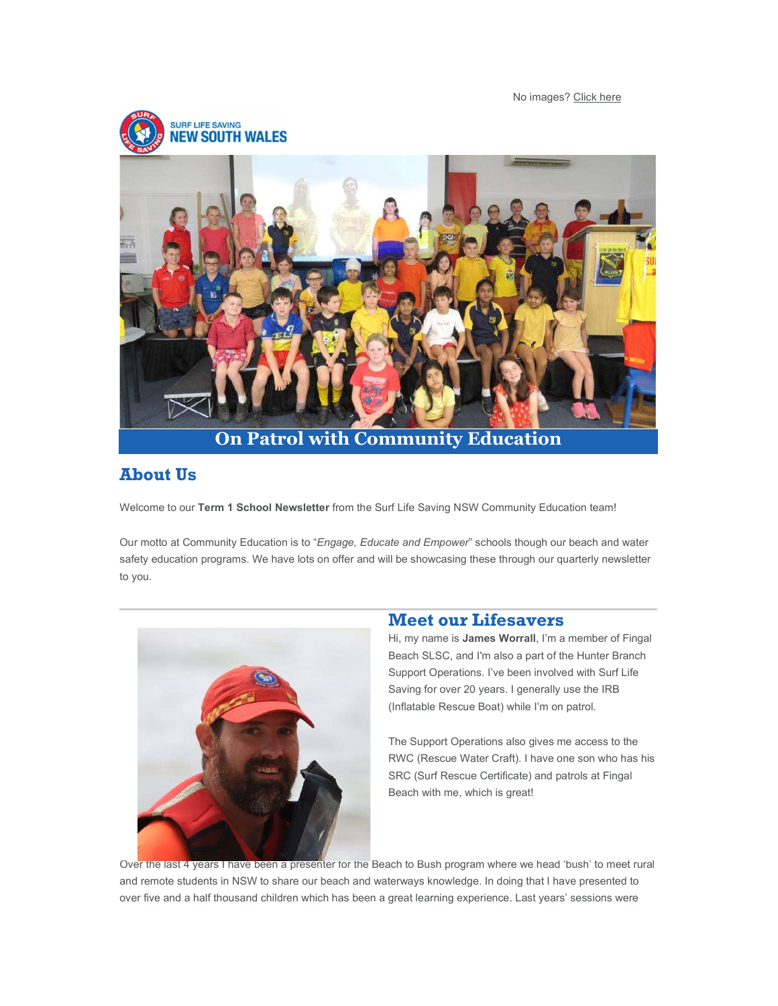No images? Click here



# About Us

Welcome to our Term 1 School Newsletter from the Surf Life Saving NSW Community Education team!

Our motto at Community Education is to "Engage, Educate and Empower" schools though our beach and water safety education programs. We have lots on offer and will be showcasing these through our quarterly newsletter to you.



## Meet our Lifesavers

Hi, my name is James Worrall, I'm a member of Fingal Beach SLSC, and I'm also a part of the Hunter Branch Support Operations. I've been involved with Surf Life Saving for over 20 years. I generally use the IRB (Inflatable Rescue Boat) while I'm on patrol.

The Support Operations also gives me access to the RWC (Rescue Water Craft). I have one son who has his SRC (Surf Rescue Certificate) and patrols at Fingal Beach with me, which is great!

Over the last 4 years I have been a presenter for the Beach to Bush program where we head 'bush' to meet rural and remote students in NSW to share our beach and waterways knowledge. In doing that I have presented to over five and a half thousand children which has been a great learning experience. Last years' sessions were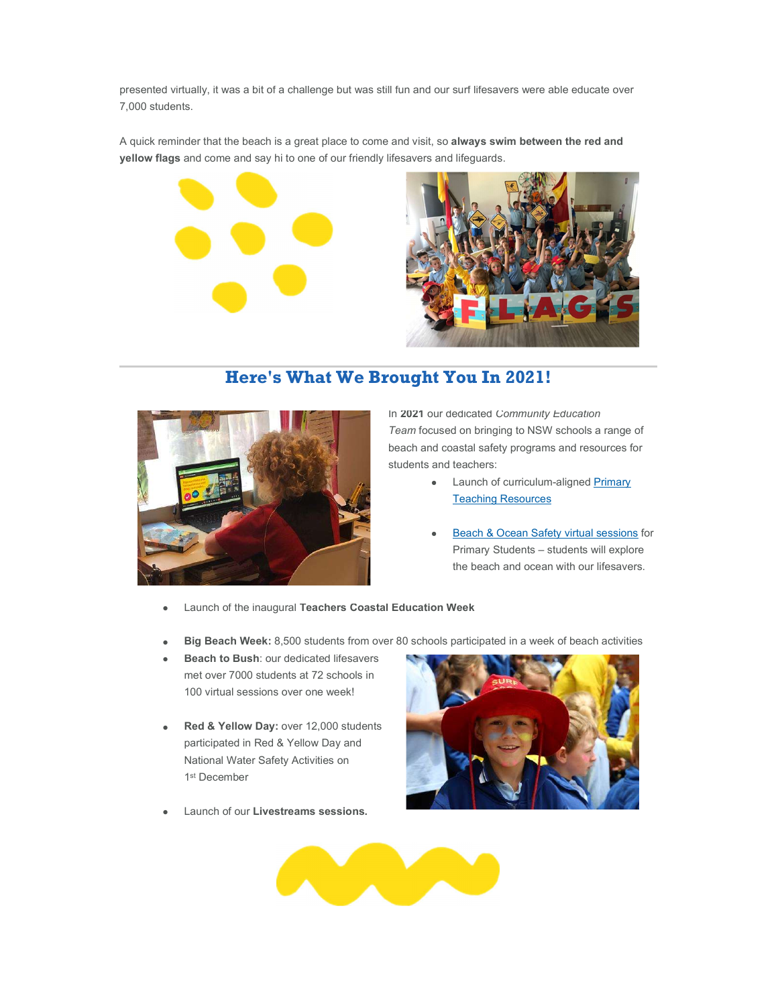presented virtually, it was a bit of a challenge but was still fun and our surf lifesavers were able educate over 7,000 students.

A quick reminder that the beach is a great place to come and visit, so always swim between the red and yellow flags and come and say hi to one of our friendly lifesavers and lifeguards.





# Here's What We Brought You In 2021!



In 2021 our dedicated Community Education Team focused on bringing to NSW schools a range of beach and coastal safety programs and resources for students and teachers:

- Launch of curriculum-aligned Primary Teaching Resources
- Beach & Ocean Safety virtual sessions for Primary Students – students will explore the beach and ocean with our lifesavers.
- Launch of the inaugural Teachers Coastal Education Week
- Big Beach Week: 8,500 students from over 80 schools participated in a week of beach activities
- Beach to Bush: our dedicated lifesavers met over 7000 students at 72 schools in 100 virtual sessions over one week!
- Red & Yellow Day: over 12,000 students participated in Red & Yellow Day and National Water Safety Activities on 1st December
- Launch of our Livestreams sessions.



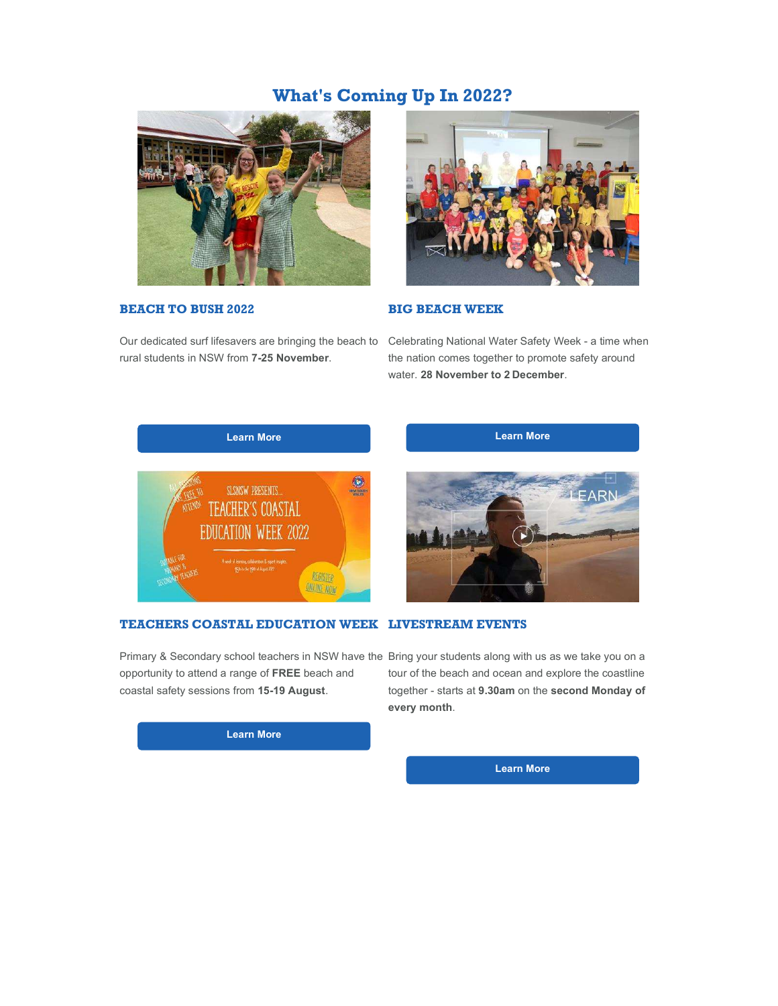# What's Coming Up In 2022?



### BEACH TO BUSH 2022

rural students in NSW from 7-25 November.



### BIG BEACH WEEK

Our dedicated surf lifesavers are bringing the beach to Celebrating National Water Safety Week - a time when the nation comes together to promote safety around water. 28 November to 2 December.



### TEACHERS COASTAL EDUCATION WEEK LIVESTREAM EVENTS

Primary & Secondary school teachers in NSW have the Bring your students along with us as we take you on a opportunity to attend a range of FREE beach and coastal safety sessions from 15-19 August.

Learn More



tour of the beach and ocean and explore the coastline together - starts at 9.30am on the second Monday of every month.

Learn More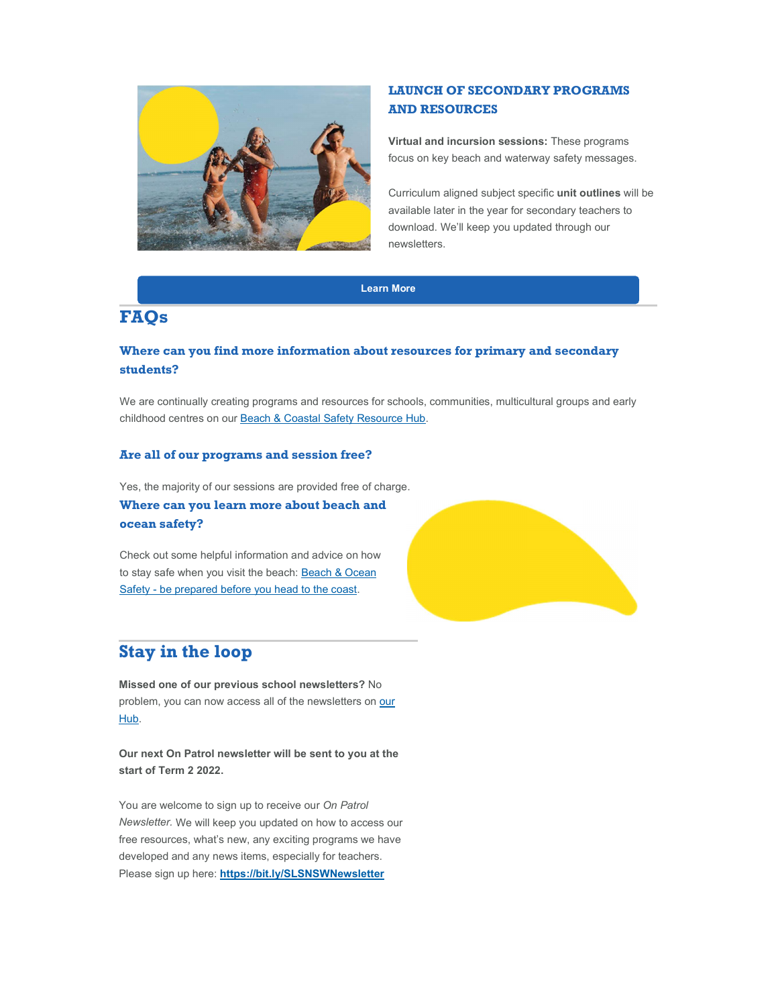

## LAUNCH OF SECONDARY PROGRAMS AND RESOURCES

Virtual and incursion sessions: These programs focus on key beach and waterway safety messages.

Curriculum aligned subject specific unit outlines will be available later in the year for secondary teachers to download. We'll keep you updated through our newsletters.

Learn More

# **FAOs**

## Where can you find more information about resources for primary and secondary students?

We are continually creating programs and resources for schools, communities, multicultural groups and early childhood centres on our Beach & Coastal Safety Resource Hub.

## Are all of our programs and session free?

Yes, the majority of our sessions are provided free of charge. Where can you learn more about beach and ocean safety?

Check out some helpful information and advice on how to stay safe when you visit the beach: Beach & Ocean Safety - be prepared before you head to the coast.



# Stay in the loop

Missed one of our previous school newsletters? No problem, you can now access all of the newsletters on our Hub.

Our next On Patrol newsletter will be sent to you at the start of Term 2 2022.

You are welcome to sign up to receive our On Patrol Newsletter. We will keep you updated on how to access our free resources, what's new, any exciting programs we have developed and any news items, especially for teachers. Please sign up here: https://bit.ly/SLSNSWNewsletter